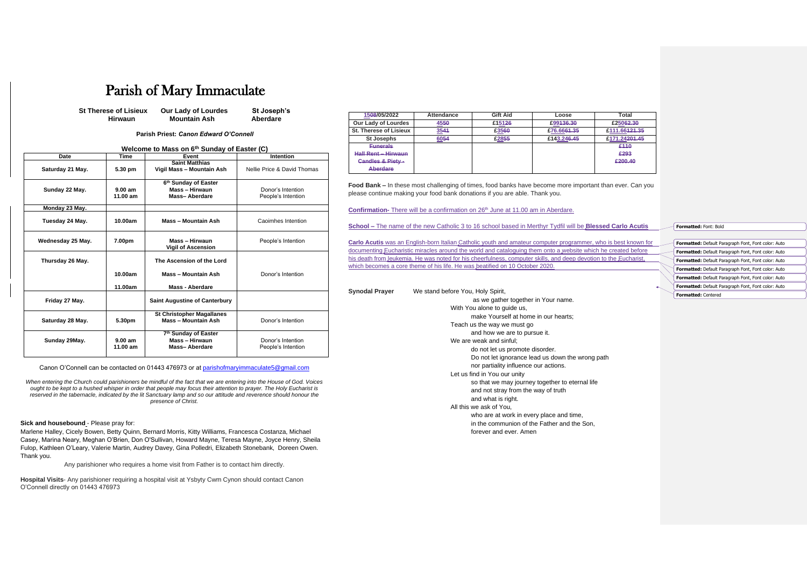## Parish of Mary Immaculate

| <b>St Therese of Lisieux</b> | <b>Our Lady of Lourdes</b> | St Joseph's |
|------------------------------|----------------------------|-------------|
| <b>Hirwaun</b>               | <b>Mountain Ash</b>        | Aberdare    |

**Parish Priest:** *Canon Edward O'Connell*

| Welcome to Mass on 6th Sunday of Easter (C) |  |  |  |  |  |  |  |  |  |
|---------------------------------------------|--|--|--|--|--|--|--|--|--|
|---------------------------------------------|--|--|--|--|--|--|--|--|--|

| <b>Date</b>       | <b>Time</b>         | Event                                                                      | <b>Intention</b>                        |
|-------------------|---------------------|----------------------------------------------------------------------------|-----------------------------------------|
| Saturday 21 May.  | 5.30 pm             | <b>Saint Matthias</b><br>Vigil Mass - Mountain Ash                         | Nellie Price & David Thomas             |
| Sunday 22 May.    | 9.00 am<br>11.00 am | 6 <sup>th</sup> Sunday of Easter<br>Mass - Hirwaun<br><b>Mass-Aberdare</b> | Donor's Intention<br>People's Intention |
| Monday 23 May.    |                     |                                                                            |                                         |
| Tuesday 24 May.   | 10.00am             | Mass - Mountain Ash                                                        | Caoimhes Intention                      |
| Wednesday 25 May. | 7.00pm              | Mass - Hirwaun<br><b>Vigil of Ascension</b>                                | People's Intention                      |
| Thursday 26 May.  |                     | The Ascension of the Lord                                                  |                                         |
|                   | 10.00am             | <b>Mass - Mountain Ash</b>                                                 | Donor's Intention                       |
|                   | 11.00am             | <b>Mass - Aberdare</b>                                                     |                                         |
| Friday 27 May.    |                     | <b>Saint Augustine of Canterbury</b>                                       |                                         |
| Saturday 28 May.  | 5.30pm              | <b>St Christopher Magallanes</b><br><b>Mass - Mountain Ash</b>             | Donor's Intention                       |
| Sunday 29May.     | 9.00 am<br>11.00 am | 7 <sup>th</sup> Sunday of Easter<br>Mass - Hirwaun<br><b>Mass-Aberdare</b> | Donor's Intention<br>People's Intention |

Canon O'Connell can be contacted on 01443 476973 or at [parishofmaryimmaculate5@gmail.com](mailto:parishofmaryimmaculate5@gmail.com)

*When entering the Church could parishioners be mindful of the fact that we are entering into the House of God. Voices ought to be kept to a hushed whisper in order that people may focus their attention to prayer. The Holy Eucharist is reserved in the tabernacle, indicated by the lit Sanctuary lamp and so our attitude and reverence should honour the presence of Christ.*

## **Sick and housebound** - Please pray for:

**Carlo Acutis** was an English-born Italian Catholic youth and amateur computer programmer, who is documenting Eucharistic miracles around the world and cataloguing them onto a website which he his death from leukemia. He was noted for his cheerfulness, computer skills, and deep devotion to the Eucharist which becomes a core theme of his life. He was beatified on 10 October 2020.

Marlene Halley, Cicely Bowen, Betty Quinn, Bernard Morris, Kitty Williams, Francesca Costanza, Michael Casey, Marina Neary, Meghan O'Brien, Don O'Sullivan, Howard Mayne, Teresa Mayne, Joyce Henry, Sheila Fulop, Kathleen O'Leary, Valerie Martin, Audrey Davey, Gina Polledri, Elizabeth Stonebank, Doreen Owen. Thank you.

Any parishioner who requires a home visit from Father is to contact him directly.

**Hospital Visits**- Any parishioner requiring a hospital visit at Ysbyty Cwm Cynon should contact Canon O'Connell directly on 01443 476973

| 1508/05/2022                  | Attendance | <b>Gift Aid</b> | Loose       | Total                     |
|-------------------------------|------------|-----------------|-------------|---------------------------|
| <b>Our Lady of Lourdes</b>    | 4550       | £15126          | £99136.30   | £25062.30                 |
| <b>St. Therese of Lisieux</b> | 3544       | £3560           | £76.6664.35 | £111.66 <del>121.35</del> |
| <b>St Josephs</b>             | 6054       | £2855           | £143,246,45 | £171.24201.45             |
| <b>Funerals</b>               |            |                 |             | £110                      |
| <b>Hall Rent - Hirwaun</b>    |            |                 |             | £293                      |
| Candles & Piety-              |            |                 |             | £200.40                   |
| <b>Aberdare</b>               |            |                 |             |                           |

**Food Bank –** In these most challenging of times, food banks have become more important than ever. Can you please continue making your food bank donations if you are able. Thank you.

**Confirmation-** There will be a confirmation on 26<sup>th</sup> June at 11.00 am in Aberdare.

**School –** The name of the new Catholic 3 to 16 school based in Merthyr Tydfil will be **Blessed** 

| Synodal Prayer | We stand before You, Holy Spirit,                |
|----------------|--------------------------------------------------|
|                | as we gather together in Your name.              |
|                | With You alone to guide us,                      |
|                | make Yourself at home in our hearts;             |
|                | Teach us the way we must go                      |
|                | and how we are to pursue it.                     |
|                | We are weak and sinful;                          |
|                | do not let us promote disorder.                  |
|                | Do not let ignorance lead us down the wrong path |
|                | nor partiality influence our actions.            |
|                | Let us find in You our unity                     |
|                | so that we may journey together to eternal life  |
|                | and not stray from the way of truth              |
|                | and what is right.                               |
|                | All this we ask of You,                          |
|                | who are at work in every place and time,         |
|                | in the communion of the Father and the Son,      |
|                | forever and ever. Amen                           |

| <b>Carlo Acutis</b> | <b>Formatted: Font: Bold</b>                               |
|---------------------|------------------------------------------------------------|
|                     |                                                            |
| s best known for    | <b>Formatted:</b> Default Paragraph Font, Font color: Auto |
| created before      | Formatted: Default Paragraph Font, Font color: Auto        |
| he Eucharist,       | Formatted: Default Paragraph Font, Font color: Auto        |
|                     | <b>Formatted:</b> Default Paragraph Font, Font color: Auto |
|                     | <b>Formatted:</b> Default Paragraph Font, Font color: Auto |
|                     | Formatted: Default Paragraph Font, Font color: Auto        |
|                     | <b>Formatted: Centered</b>                                 |
|                     |                                                            |